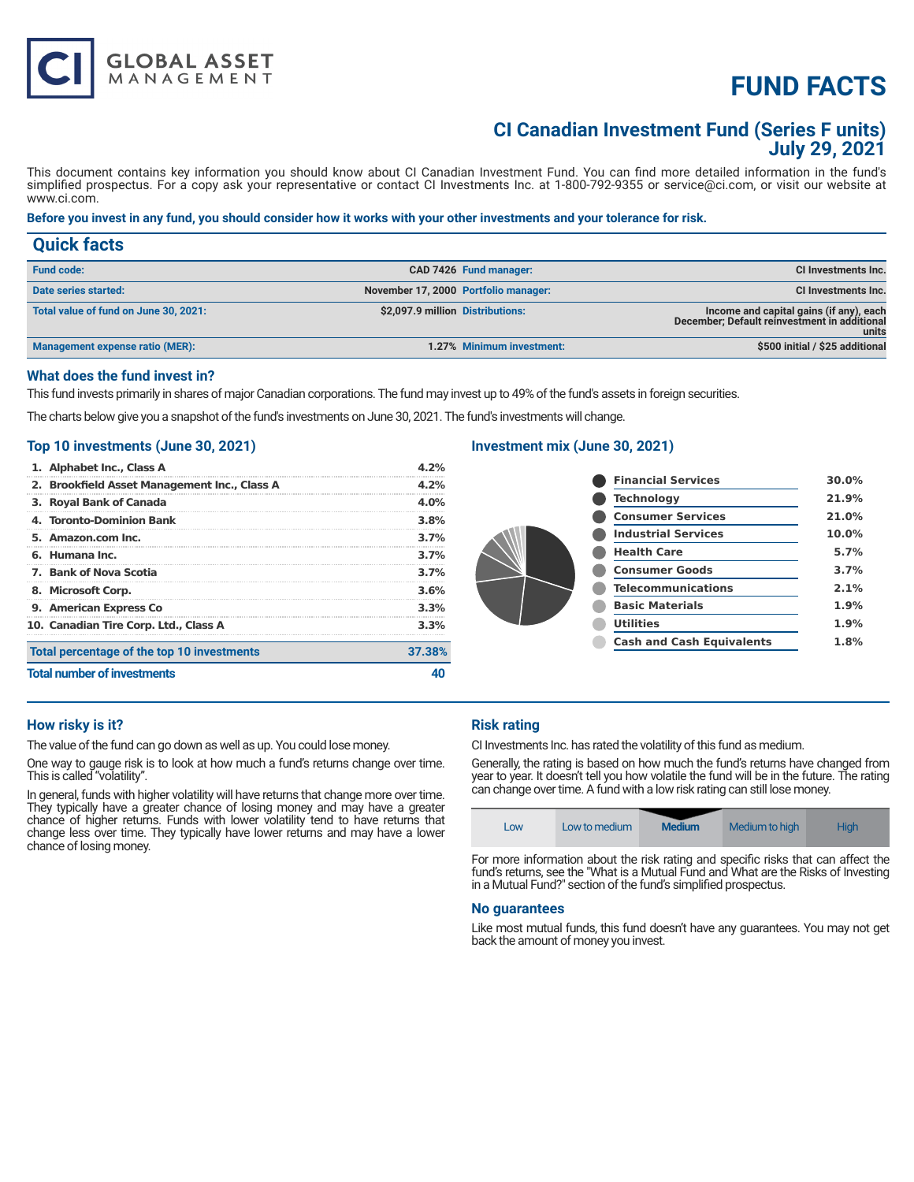# **FUND FACTS**

# **CI Canadian Investment Fund (Series F units) July 29, 2021**

This document contains key information you should know about CI Canadian Investment Fund. You can find more detailed information in the fund's simplified prospectus. For a copy ask your representative or contact CI Investments Inc. at 1-800-792-9355 or service@ci.com, or visit our website at www.ci.com.

# **Before you invest in any fund, you should consider how it works with your other investments and your tolerance for risk.**

| <b>Quick facts</b>                    |                                  |                                      |                                                                                                  |
|---------------------------------------|----------------------------------|--------------------------------------|--------------------------------------------------------------------------------------------------|
| <b>Fund code:</b>                     |                                  | CAD 7426 Fund manager:               | CI Investments Inc.                                                                              |
| Date series started:                  |                                  | November 17, 2000 Portfolio manager: | CI Investments Inc.                                                                              |
| Total value of fund on June 30, 2021: | \$2,097.9 million Distributions: |                                      | Income and capital gains (if any), each<br>December; Default reinvestment in additional<br>units |
| Management expense ratio (MER):       |                                  | 1.27% Minimum investment:            | \$500 initial / \$25 additional                                                                  |

# **What does the fund invest in?**

This fund invests primarily in shares of major Canadian corporations. The fund may invest up to 49% of the fund's assets in foreign securities.

The charts below give you a snapshot of the fund's investments on June 30, 2021. The fund's investments will change.

# **Top 10 investments (June 30, 2021)**

**GLOBAL ASSET**<br>MANAGEMENT

| <b>Total number of investments</b>           |         |
|----------------------------------------------|---------|
| Total percentage of the top 10 investments   | 37.38%  |
| 10. Canadian Tire Corp. Ltd., Class A        | 3.3%    |
| 9. American Express Co                       | 3.3%    |
| 8. Microsoft Corp.                           | 3.6%    |
| 7. Bank of Nova Scotia                       | 3.7%    |
| 6. Humana Inc.                               | 3.7%    |
| 5. Amazon.com Inc.                           | 3.7%    |
| 4. Toronto-Dominion Bank                     | 3.8%    |
| 3. Royal Bank of Canada                      | $4.0\%$ |
| 2. Brookfield Asset Management Inc., Class A | 4.2%    |
| 1. Alphabet Inc., Class A                    | 4.2%    |

# **Investment mix (June 30, 2021)**

| <b>Financial Services</b>        | 30.0%    |
|----------------------------------|----------|
| <b>Technology</b>                | 21.9%    |
| <b>Consumer Services</b>         | 21.0%    |
| <b>Industrial Services</b>       | $10.0\%$ |
| <b>Health Care</b>               | 5.7%     |
| <b>Consumer Goods</b>            | 3.7%     |
| <b>Telecommunications</b>        | 2.1%     |
| <b>Basic Materials</b>           | 1.9%     |
| <b>Utilities</b>                 | 1.9%     |
| <b>Cash and Cash Equivalents</b> | 1.8%     |
|                                  |          |

#### **How risky is it?**

The value of the fund can go down as well as up. You could lose money.

One way to gauge risk is to look at how much a fund's returns change over time. This is called "volatility".

In general, funds with higher volatility will have returns that change more over time. They typically have a greater chance of losing money and may have a greater chance of higher returns. Funds with lower volatility tend to have returns that change less over time. They typically have lower returns and may have a lower chance of losing money.

# **Risk rating**

CI Investments Inc. has rated the volatility of this fund as medium.

Generally, the rating is based on how much the fund's returns have changed from year to year. It doesn't tell you how volatile the fund will be in the future. The rating can change over time. A fund with a low risk rating can still lose money.

| Low | Low to medium | <b>Medium</b> | Medium to high | <b>High</b> |
|-----|---------------|---------------|----------------|-------------|
|-----|---------------|---------------|----------------|-------------|

For more information about the risk rating and specific risks that can affect the fund's returns, see the "What is a Mutual Fund and What are the Risks of Investing in a Mutual Fund?" section of the fund's simplified prospectus.

#### **No guarantees**

Like most mutual funds, this fund doesn't have any guarantees. You may not get back the amount of money you invest.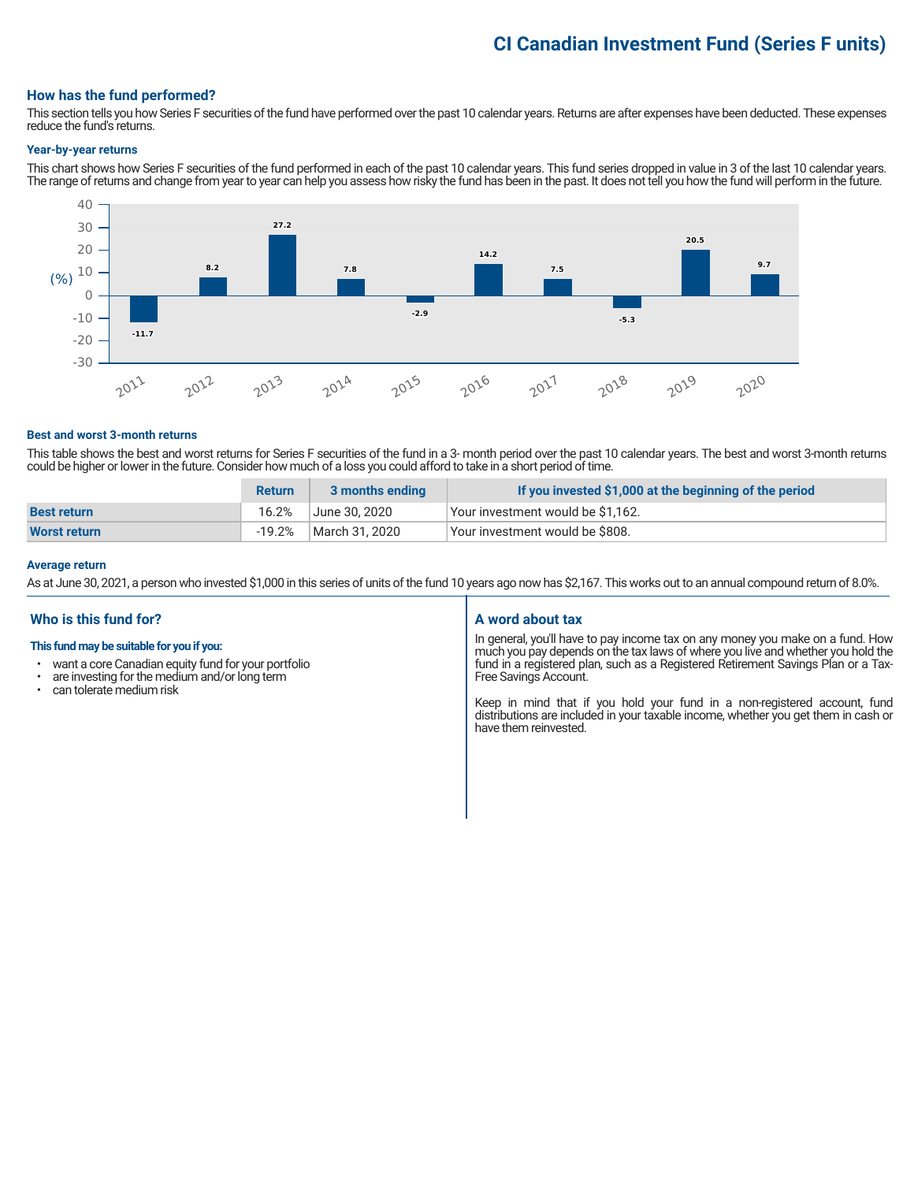# **CI Canadian Investment Fund (Series F units)**

# **How has the fund performed?**

This section tells you how Series F securities of the fund have performed over the past 10 calendar years. Returns are after expenses have been deducted. These expenses reduce the fund's returns.

#### **Year-by-year returns**

This chart shows how Series F securities of the fund performed in each of the past 10 calendar years. This fund series dropped in value in 3 of the last 10 calendar years. The range of returns and change from year to year can help you assess how risky the fund has been in the past. It does not tell you how the fund will perform in the future.



#### **Best and worst 3-month returns**

This table shows the best and worst returns for Series F securities of the fund in a 3- month period over the past 10 calendar years. The best and worst 3-month returns could be higher or lower in the future. Consider how much of a loss you could afford to take in a short period of time.

|                    | <b>Return</b> | 3 months ending | If you invested \$1,000 at the beginning of the period |
|--------------------|---------------|-----------------|--------------------------------------------------------|
| <b>Best return</b> | 16.2%         | June 30. 2020   | Your investment would be \$1,162.                      |
| Worst return       | $-19.2\%$     | March 31, 2020  | Your investment would be \$808.                        |

#### **Average return**

As at June 30, 2021, a person who invested \$1,000 in this series of units of the fund 10 years ago now has \$2,167. This works out to an annual compound return of 8.0%.

# **Who is this fund for?**

#### **This fund may be suitable for you if you:**

- want a core Canadian equity fund for your portfolio<br>• are investing for the medium and/or long term
- $\cdot$  are investing for the medium and/or long term  $\cdot$  can telerate medium risk
- can tolerate medium risk

#### **A word about tax**

In general, you'll have to pay income tax on any money you make on a fund. How much you pay depends on the tax laws of where you live and whether you hold the fund in a registered plan, such as a Registered Retirement Savings Plan or a Tax-Free Savings Account.

Keep in mind that if you hold your fund in a non-registered account, fund distributions are included in your taxable income, whether you get them in cash or have them reinvested.